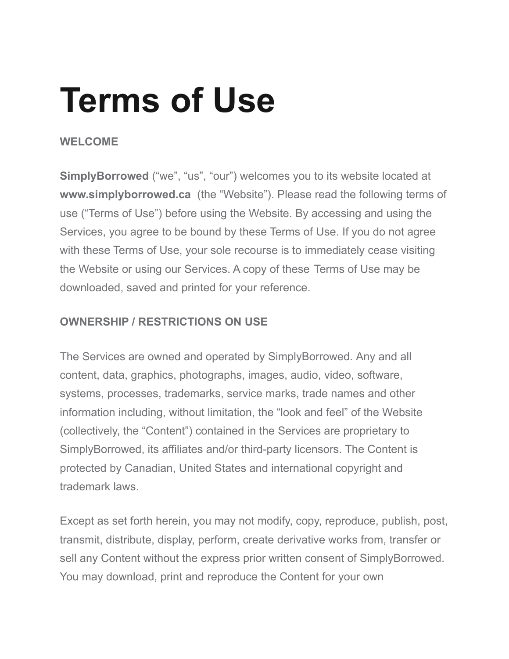# **Terms of Use**

## **WELCOME**

**SimplyBorrowed** ("we", "us", "our") welcomes you to its website located at **www.simplyborrowed.ca** (the "Website"). Please read the following terms of use ("Terms of Use") before using the Website. By accessing and using the Services, you agree to be bound by these Terms of Use. If you do not agree with these Terms of Use, your sole recourse is to immediately cease visiting the Website or using our Services. A copy of these Terms of Use may be downloaded, saved and printed for your reference.

## **OWNERSHIP / RESTRICTIONS ON USE**

The Services are owned and operated by SimplyBorrowed. Any and all content, data, graphics, photographs, images, audio, video, software, systems, processes, trademarks, service marks, trade names and other information including, without limitation, the "look and feel" of the Website (collectively, the "Content") contained in the Services are proprietary to SimplyBorrowed, its affiliates and/or third-party licensors. The Content is protected by Canadian, United States and international copyright and trademark laws.

Except as set forth herein, you may not modify, copy, reproduce, publish, post, transmit, distribute, display, perform, create derivative works from, transfer or sell any Content without the express prior written consent of SimplyBorrowed. You may download, print and reproduce the Content for your own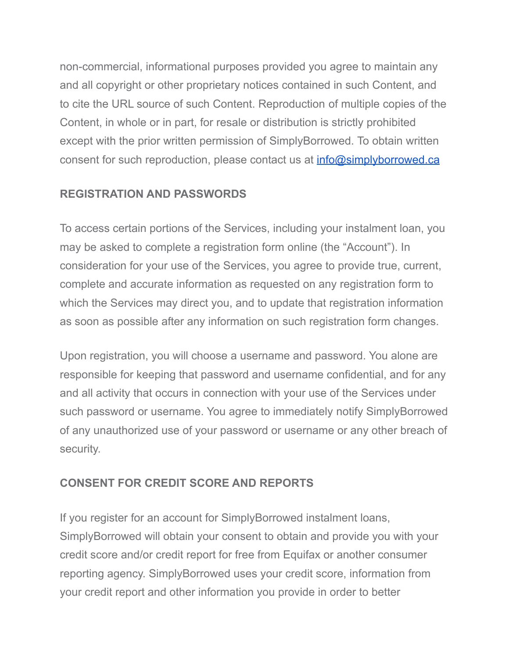non-commercial, informational purposes provided you agree to maintain any and all copyright or other proprietary notices contained in such Content, and to cite the URL source of such Content. Reproduction of multiple copies of the Content, in whole or in part, for resale or distribution is strictly prohibited except with the prior written permission of SimplyBorrowed. To obtain written consent for such reproduction, please contact us at  $info@simplyborrowed.ca$ 

## **REGISTRATION AND PASSWORDS**

To access certain portions of the Services, including your instalment loan, you may be asked to complete a registration form online (the "Account"). In consideration for your use of the Services, you agree to provide true, current, complete and accurate information as requested on any registration form to which the Services may direct you, and to update that registration information as soon as possible after any information on such registration form changes.

Upon registration, you will choose a username and password. You alone are responsible for keeping that password and username confidential, and for any and all activity that occurs in connection with your use of the Services under such password or username. You agree to immediately notify SimplyBorrowed of any unauthorized use of your password or username or any other breach of security.

## **CONSENT FOR CREDIT SCORE AND REPORTS**

If you register for an account for SimplyBorrowed instalment loans, SimplyBorrowed will obtain your consent to obtain and provide you with your credit score and/or credit report for free from Equifax or another consumer reporting agency. SimplyBorrowed uses your credit score, information from your credit report and other information you provide in order to better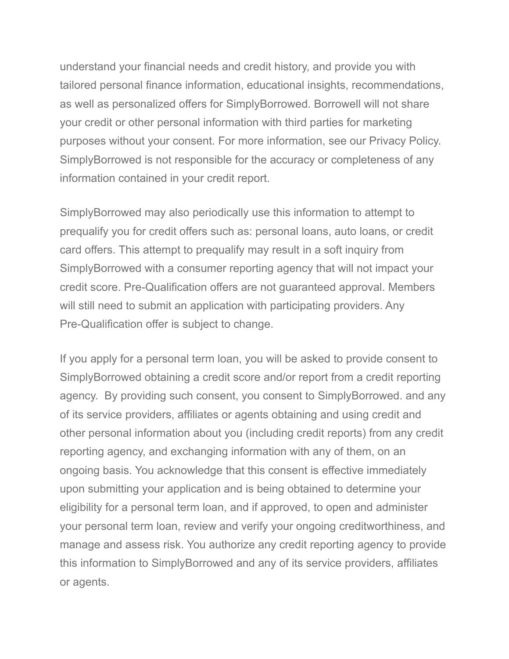understand your financial needs and credit history, and provide you with tailored personal finance information, educational insights, recommendations, as well as personalized offers for SimplyBorrowed. Borrowell will not share your credit or other personal information with third parties for marketing purposes without your consent. For more information, see our Privacy Policy. SimplyBorrowed is not responsible for the accuracy or completeness of any information contained in your credit report.

SimplyBorrowed may also periodically use this information to attempt to prequalify you for credit offers such as: personal loans, auto loans, or credit card offers. This attempt to prequalify may result in a soft inquiry from SimplyBorrowed with a consumer reporting agency that will not impact your credit score. Pre-Qualification offers are not guaranteed approval. Members will still need to submit an application with participating providers. Any Pre-Qualification offer is subject to change.

If you apply for a personal term loan, you will be asked to provide consent to SimplyBorrowed obtaining a credit score and/or report from a credit reporting agency. By providing such consent, you consent to SimplyBorrowed. and any of its service providers, affiliates or agents obtaining and using credit and other personal information about you (including credit reports) from any credit reporting agency, and exchanging information with any of them, on an ongoing basis. You acknowledge that this consent is effective immediately upon submitting your application and is being obtained to determine your eligibility for a personal term loan, and if approved, to open and administer your personal term loan, review and verify your ongoing creditworthiness, and manage and assess risk. You authorize any credit reporting agency to provide this information to SimplyBorrowed and any of its service providers, affiliates or agents.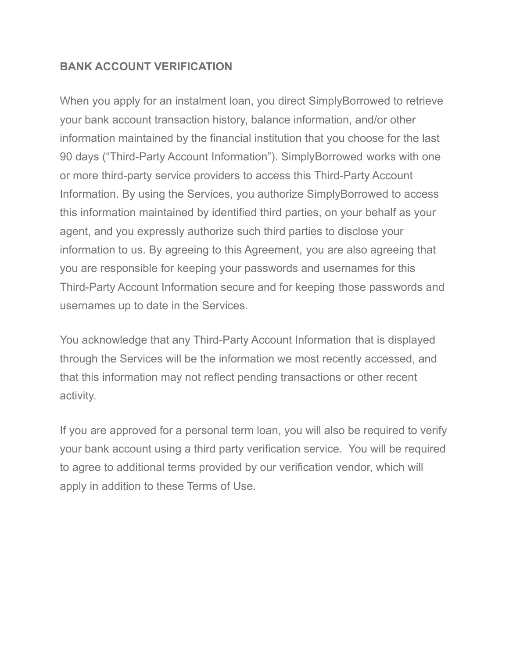## **BANK ACCOUNT VERIFICATION**

When you apply for an instalment loan, you direct SimplyBorrowed to retrieve your bank account transaction history, balance information, and/or other information maintained by the financial institution that you choose for the last 90 days ("Third-Party Account Information"). SimplyBorrowed works with one or more third-party service providers to access this Third-Party Account Information. By using the Services, you authorize SimplyBorrowed to access this information maintained by identified third parties, on your behalf as your agent, and you expressly authorize such third parties to disclose your information to us. By agreeing to this Agreement, you are also agreeing that you are responsible for keeping your passwords and usernames for this Third-Party Account Information secure and for keeping those passwords and usernames up to date in the Services.

You acknowledge that any Third-Party Account Information that is displayed through the Services will be the information we most recently accessed, and that this information may not reflect pending transactions or other recent activity.

If you are approved for a personal term loan, you will also be required to verify your bank account using a third party verification service. You will be required to agree to additional terms provided by our verification vendor, which will apply in addition to these Terms of Use.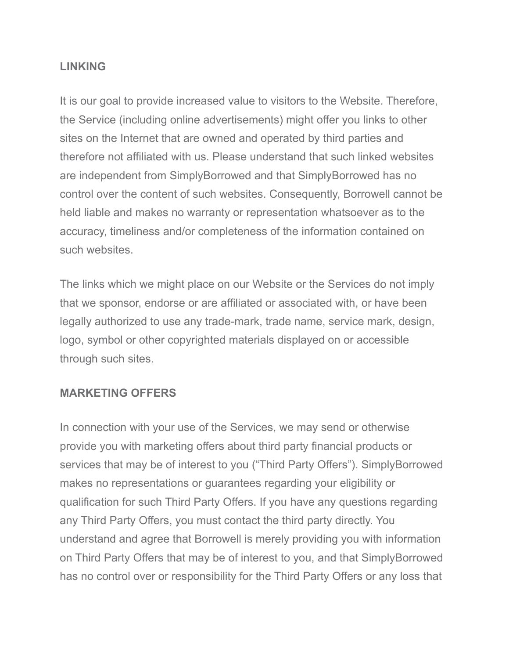#### **LINKING**

It is our goal to provide increased value to visitors to the Website. Therefore, the Service (including online advertisements) might offer you links to other sites on the Internet that are owned and operated by third parties and therefore not affiliated with us. Please understand that such linked websites are independent from SimplyBorrowed and that SimplyBorrowed has no control over the content of such websites. Consequently, Borrowell cannot be held liable and makes no warranty or representation whatsoever as to the accuracy, timeliness and/or completeness of the information contained on such websites.

The links which we might place on our Website or the Services do not imply that we sponsor, endorse or are affiliated or associated with, or have been legally authorized to use any trade-mark, trade name, service mark, design, logo, symbol or other copyrighted materials displayed on or accessible through such sites.

#### **MARKETING OFFERS**

In connection with your use of the Services, we may send or otherwise provide you with marketing offers about third party financial products or services that may be of interest to you ("Third Party Offers"). SimplyBorrowed makes no representations or guarantees regarding your eligibility or qualification for such Third Party Offers. If you have any questions regarding any Third Party Offers, you must contact the third party directly. You understand and agree that Borrowell is merely providing you with information on Third Party Offers that may be of interest to you, and that SimplyBorrowed has no control over or responsibility for the Third Party Offers or any loss that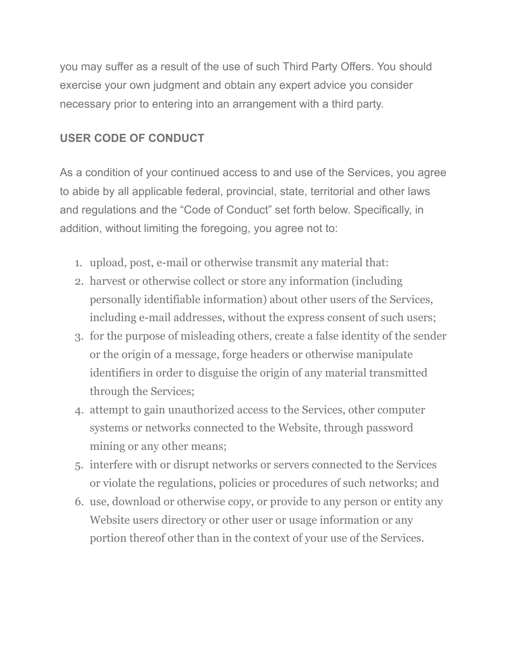you may suffer as a result of the use of such Third Party Offers. You should exercise your own judgment and obtain any expert advice you consider necessary prior to entering into an arrangement with a third party.

# **USER CODE OF CONDUCT**

As a condition of your continued access to and use of the Services, you agree to abide by all applicable federal, provincial, state, territorial and other laws and regulations and the "Code of Conduct" set forth below. Specifically, in addition, without limiting the foregoing, you agree not to:

- 1. upload, post, e-mail or otherwise transmit any material that:
- 2. harvest or otherwise collect or store any information (including personally identifiable information) about other users of the Services, including e-mail addresses, without the express consent of such users;
- 3. for the purpose of misleading others, create a false identity of the sender or the origin of a message, forge headers or otherwise manipulate identifiers in order to disguise the origin of any material transmitted through the Services;
- 4. attempt to gain unauthorized access to the Services, other computer systems or networks connected to the Website, through password mining or any other means;
- 5. interfere with or disrupt networks or servers connected to the Services or violate the regulations, policies or procedures of such networks; and
- 6. use, download or otherwise copy, or provide to any person or entity any Website users directory or other user or usage information or any portion thereof other than in the context of your use of the Services.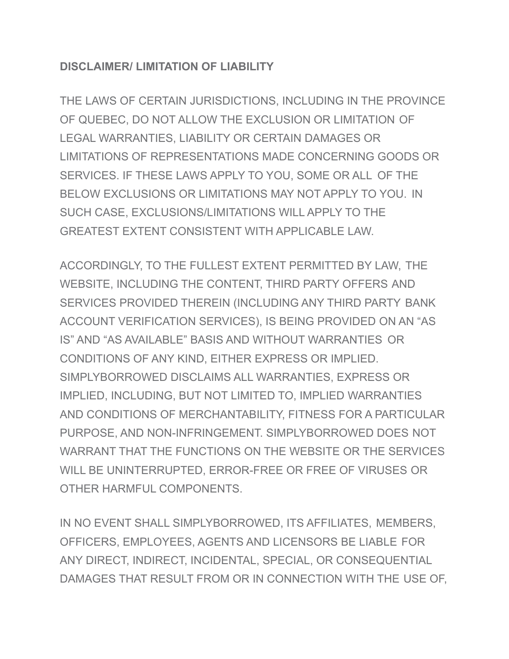## **DISCLAIMER/ LIMITATION OF LIABILITY**

THE LAWS OF CERTAIN JURISDICTIONS, INCLUDING IN THE PROVINCE OF QUEBEC, DO NOT ALLOW THE EXCLUSION OR LIMITATION OF LEGAL WARRANTIES, LIABILITY OR CERTAIN DAMAGES OR LIMITATIONS OF REPRESENTATIONS MADE CONCERNING GOODS OR SERVICES. IF THESE LAWS APPLY TO YOU, SOME OR ALL OF THE BELOW EXCLUSIONS OR LIMITATIONS MAY NOT APPLY TO YOU. IN SUCH CASE, EXCLUSIONS/LIMITATIONS WILL APPLY TO THE GREATEST EXTENT CONSISTENT WITH APPLICABLE LAW.

ACCORDINGLY, TO THE FULLEST EXTENT PERMITTED BY LAW, THE WEBSITE, INCLUDING THE CONTENT, THIRD PARTY OFFERS AND SERVICES PROVIDED THEREIN (INCLUDING ANY THIRD PARTY BANK ACCOUNT VERIFICATION SERVICES), IS BEING PROVIDED ON AN "AS IS" AND "AS AVAILABLE" BASIS AND WITHOUT WARRANTIES OR CONDITIONS OF ANY KIND, EITHER EXPRESS OR IMPLIED. SIMPLYBORROWED DISCLAIMS ALL WARRANTIES, EXPRESS OR IMPLIED, INCLUDING, BUT NOT LIMITED TO, IMPLIED WARRANTIES AND CONDITIONS OF MERCHANTABILITY, FITNESS FOR A PARTICULAR PURPOSE, AND NON-INFRINGEMENT. SIMPLYBORROWED DOES NOT WARRANT THAT THE FUNCTIONS ON THE WEBSITE OR THE SERVICES WILL BE UNINTERRUPTED, ERROR-FREE OR FREE OF VIRUSES OR OTHER HARMFUL COMPONENTS.

IN NO EVENT SHALL SIMPLYBORROWED, ITS AFFILIATES, MEMBERS, OFFICERS, EMPLOYEES, AGENTS AND LICENSORS BE LIABLE FOR ANY DIRECT, INDIRECT, INCIDENTAL, SPECIAL, OR CONSEQUENTIAL DAMAGES THAT RESULT FROM OR IN CONNECTION WITH THE USE OF,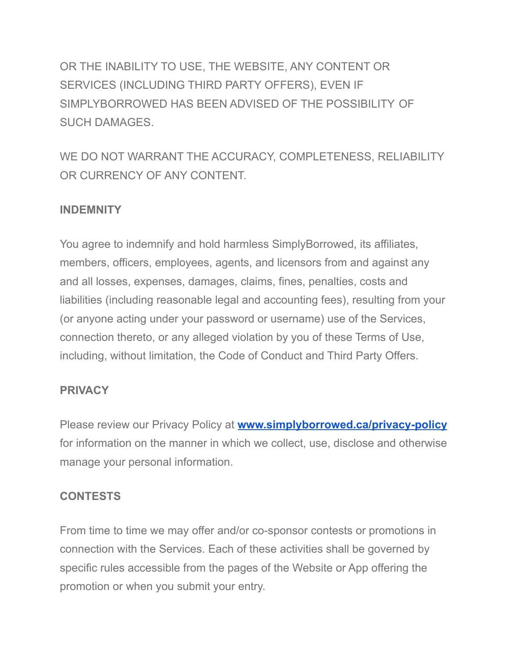OR THE INABILITY TO USE, THE WEBSITE, ANY CONTENT OR SERVICES (INCLUDING THIRD PARTY OFFERS), EVEN IF SIMPLYBORROWED HAS BEEN ADVISED OF THE POSSIBILITY OF SUCH DAMAGES.

WE DO NOT WARRANT THE ACCURACY, COMPLETENESS, RELIABILITY OR CURRENCY OF ANY CONTENT.

## **INDEMNITY**

You agree to indemnify and hold harmless SimplyBorrowed, its affiliates, members, officers, employees, agents, and licensors from and against any and all losses, expenses, damages, claims, fines, penalties, costs and liabilities (including reasonable legal and accounting fees), resulting from your (or anyone acting under your password or username) use of the Services, connection thereto, or any alleged violation by you of these Terms of Use, including, without limitation, the Code of Conduct and Third Party Offers.

## **PRIVACY**

Please review our Privacy Policy at **[www.simplyborrowed.ca/privacy-policy](http://www.simplyborrowed.ca/privacy-policy)** for information on the manner in which we collect, use, disclose and otherwise manage your personal information.

## **CONTESTS**

From time to time we may offer and/or co-sponsor contests or promotions in connection with the Services. Each of these activities shall be governed by specific rules accessible from the pages of the Website or App offering the promotion or when you submit your entry.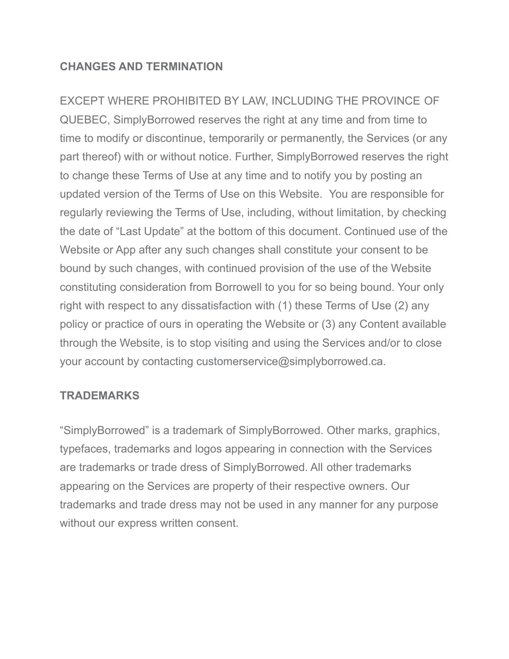#### **CHANGES AND TERMINATION**

EXCEPT WHERE PROHIBITED BY LAW, INCLUDING THE PROVINCE OF QUEBEC, SimplyBorrowed reserves the right at any time and from time to time to modify or discontinue, temporarily or permanently, the Services (or any part thereof) with or without notice. Further, SimplyBorrowed reserves the right to change these Terms of Use at any time and to notify you by posting an updated version of the Terms of Use on this Website. You are responsible for regularly reviewing the Terms of Use, including, without limitation, by checking the date of "Last Update" at the bottom of this document. Continued use of the Website or App after any such changes shall constitute your consent to be bound by such changes, with continued provision of the use of the Website constituting consideration from Borrowell to you for so being bound. Your only right with respect to any dissatisfaction with (1) these Terms of Use (2) any policy or practice of ours in operating the Website or (3) any Content available through the Website, is to stop visiting and using the Services and/or to close your account by contacting customerservice@simplyborrowed.ca.

#### **TRADEMARKS**

"SimplyBorrowed" is a trademark of SimplyBorrowed. Other marks, graphics, typefaces, trademarks and logos appearing in connection with the Services are trademarks or trade dress of SimplyBorrowed. All other trademarks appearing on the Services are property of their respective owners. Our trademarks and trade dress may not be used in any manner for any purpose without our express written consent.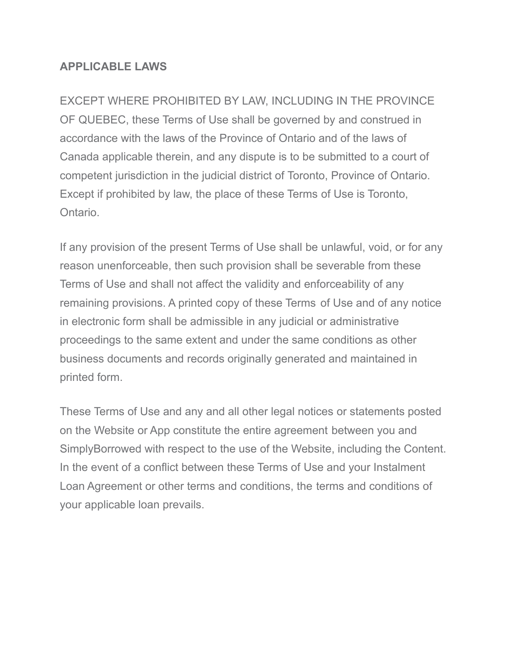#### **APPLICABLE LAWS**

EXCEPT WHERE PROHIBITED BY LAW, INCLUDING IN THE PROVINCE OF QUEBEC, these Terms of Use shall be governed by and construed in accordance with the laws of the Province of Ontario and of the laws of Canada applicable therein, and any dispute is to be submitted to a court of competent jurisdiction in the judicial district of Toronto, Province of Ontario. Except if prohibited by law, the place of these Terms of Use is Toronto, **Ontario** 

If any provision of the present Terms of Use shall be unlawful, void, or for any reason unenforceable, then such provision shall be severable from these Terms of Use and shall not affect the validity and enforceability of any remaining provisions. A printed copy of these Terms of Use and of any notice in electronic form shall be admissible in any judicial or administrative proceedings to the same extent and under the same conditions as other business documents and records originally generated and maintained in printed form.

These Terms of Use and any and all other legal notices or statements posted on the Website or App constitute the entire agreement between you and SimplyBorrowed with respect to the use of the Website, including the Content. In the event of a conflict between these Terms of Use and your Instalment Loan Agreement or other terms and conditions, the terms and conditions of your applicable loan prevails.